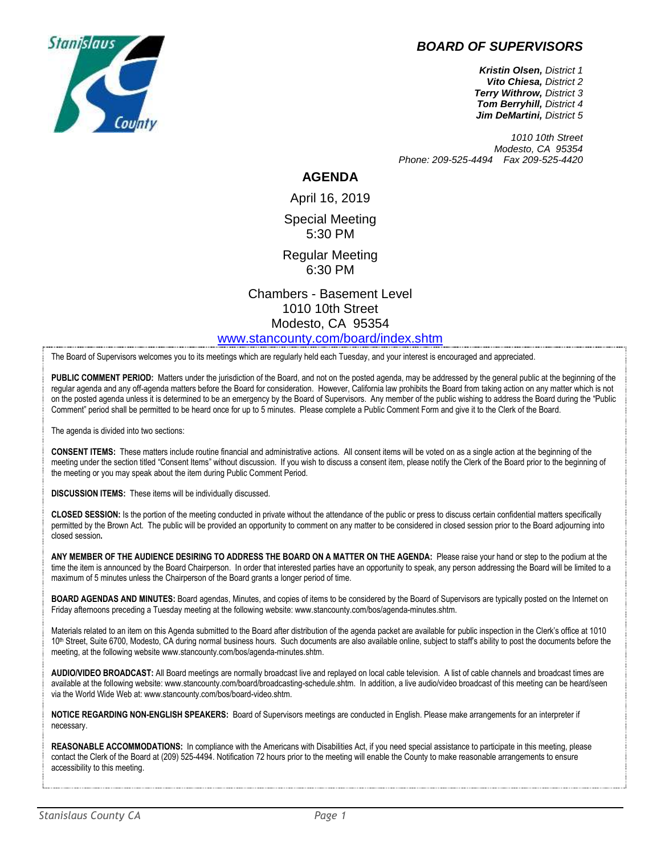

## *BOARD OF SUPERVISORS*

*Kristin Olsen, District 1 Vito Chiesa, District 2 Terry Withrow, District 3 Tom Berryhill, District 4 Jim DeMartini, District 5*

*1010 10th Street Modesto, CA 95354 Phone: 209-525-4494 Fax 209-525-4420*

## **AGENDA**

April 16, 2019 Special Meeting 5:30 PM

Regular Meeting 6:30 PM

Chambers - Basement Level 1010 10th Street Modesto, CA 95354 [www.stancounty.com/board/index.shtm](http://www.stancounty.com/board/index.shtm)

The Board of Supervisors welcomes you to its meetings which are regularly held each Tuesday, and your interest is encouraged and appreciated.

PUBLIC COMMENT PERIOD: Matters under the jurisdiction of the Board, and not on the posted agenda, may be addressed by the general public at the beginning of the regular agenda and any off-agenda matters before the Board for consideration. However, California law prohibits the Board from taking action on any matter which is not on the posted agenda unless it is determined to be an emergency by the Board of Supervisors. Any member of the public wishing to address the Board during the "Public Comment" period shall be permitted to be heard once for up to 5 minutes. Please complete a Public Comment Form and give it to the Clerk of the Board.

The agenda is divided into two sections:

**CONSENT ITEMS:** These matters include routine financial and administrative actions. All consent items will be voted on as a single action at the beginning of the meeting under the section titled "Consent Items" without discussion. If you wish to discuss a consent item, please notify the Clerk of the Board prior to the beginning of the meeting or you may speak about the item during Public Comment Period.

**DISCUSSION ITEMS:** These items will be individually discussed.

**CLOSED SESSION:** Is the portion of the meeting conducted in private without the attendance of the public or press to discuss certain confidential matters specifically permitted by the Brown Act. The public will be provided an opportunity to comment on any matter to be considered in closed session prior to the Board adjourning into closed session**.**

**ANY MEMBER OF THE AUDIENCE DESIRING TO ADDRESS THE BOARD ON A MATTER ON THE AGENDA:** Please raise your hand or step to the podium at the time the item is announced by the Board Chairperson. In order that interested parties have an opportunity to speak, any person addressing the Board will be limited to a maximum of 5 minutes unless the Chairperson of the Board grants a longer period of time.

**BOARD AGENDAS AND MINUTES:** Board agendas, Minutes, and copies of items to be considered by the Board of Supervisors are typically posted on the Internet on Friday afternoons preceding a Tuesday meeting at the following website: www.stancounty.com/bos/agenda-minutes.shtm.

Materials related to an item on this Agenda submitted to the Board after distribution of the agenda packet are available for public inspection in the Clerk's office at 1010 10<sup>th</sup> Street, Suite 6700, Modesto, CA during normal business hours. Such documents are also available online, subject to staff's ability to post the documents before the meeting, at the following website www.stancounty.com/bos/agenda-minutes.shtm.

**AUDIO/VIDEO BROADCAST:** All Board meetings are normally broadcast live and replayed on local cable television. A list of cable channels and broadcast times are available at the following website: www.stancounty.com/board/broadcasting-schedule.shtm. In addition, a live audio/video broadcast of this meeting can be heard/seen via the World Wide Web at: www.stancounty.com/bos/board-video.shtm.

**NOTICE REGARDING NON-ENGLISH SPEAKERS:** Board of Supervisors meetings are conducted in English. Please make arrangements for an interpreter if necessary.

REASONABLE ACCOMMODATIONS: In compliance with the Americans with Disabilities Act, if you need special assistance to participate in this meeting, please contact the Clerk of the Board at (209) 525-4494. Notification 72 hours prior to the meeting will enable the County to make reasonable arrangements to ensure accessibility to this meeting.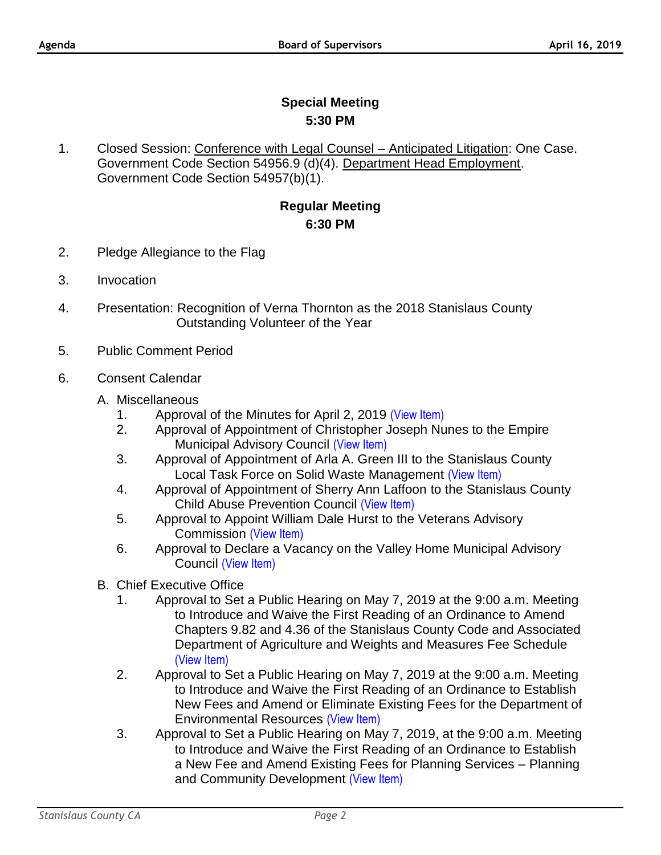## **Special Meeting 5:30 PM**

1. Closed Session: Conference with Legal Counsel – Anticipated Litigation: One Case. Government Code Section 54956.9 (d)(4). Department Head Employment. Government Code Section 54957(b)(1).

## **Regular Meeting 6:30 PM**

- 2. Pledge Allegiance to the Flag
- 3. Invocation
- 4. Presentation: Recognition of Verna Thornton as the 2018 Stanislaus County Outstanding Volunteer of the Year
- 5. Public Comment Period
- 6. Consent Calendar
	- A. Miscellaneous
		- 1. Approval of the Minutes for April 2, 2019 [\(View Item\)](http://stancounty.com/bos/minutes/2019/min04-02-19.pdf)
		- 2. Approval of Appointment of Christopher Joseph Nunes to the Empire Municipal Advisory Council [\(View Item\)](http://stancounty.com/bos/agenda/2019/20190416/A02.pdf)
		- 3. Approval of Appointment of Arla A. Green III to the Stanislaus County Local Task Force on Solid Waste Management [\(View Item\)](http://stancounty.com/bos/agenda/2019/20190416/A03.pdf)
		- 4. Approval of Appointment of Sherry Ann Laffoon to the Stanislaus County Child Abuse Prevention Council [\(View Item\)](http://stancounty.com/bos/agenda/2019/20190416/A04.pdf)
		- 5. Approval to Appoint William Dale Hurst to the Veterans Advisory Commission [\(View Item\)](http://stancounty.com/bos/agenda/2019/20190416/A05.pdf)
		- 6. Approval to Declare a Vacancy on the Valley Home Municipal Advisory Council [\(View Item\)](http://stancounty.com/bos/agenda/2019/20190416/A06.pdf)
	- B. Chief Executive Office
		- 1. Approval to Set a Public Hearing on May 7, 2019 at the 9:00 a.m. Meeting to Introduce and Waive the First Reading of an Ordinance to Amend Chapters 9.82 and 4.36 of the Stanislaus County Code and Associated Department of Agriculture and Weights and Measures Fee Schedule [\(View Item\)](http://stancounty.com/bos/agenda/2019/20190416/B01.pdf)
		- 2. Approval to Set a Public Hearing on May 7, 2019 at the 9:00 a.m. Meeting to Introduce and Waive the First Reading of an Ordinance to Establish New Fees and Amend or Eliminate Existing Fees for the Department of Environmental Resources [\(View Item\)](http://stancounty.com/bos/agenda/2019/20190416/B02.pdf)
		- 3. Approval to Set a Public Hearing on May 7, 2019, at the 9:00 a.m. Meeting to Introduce and Waive the First Reading of an Ordinance to Establish a New Fee and Amend Existing Fees for Planning Services – Planning and Community Development [\(View Item\)](http://stancounty.com/bos/agenda/2019/20190416/B03.pdf)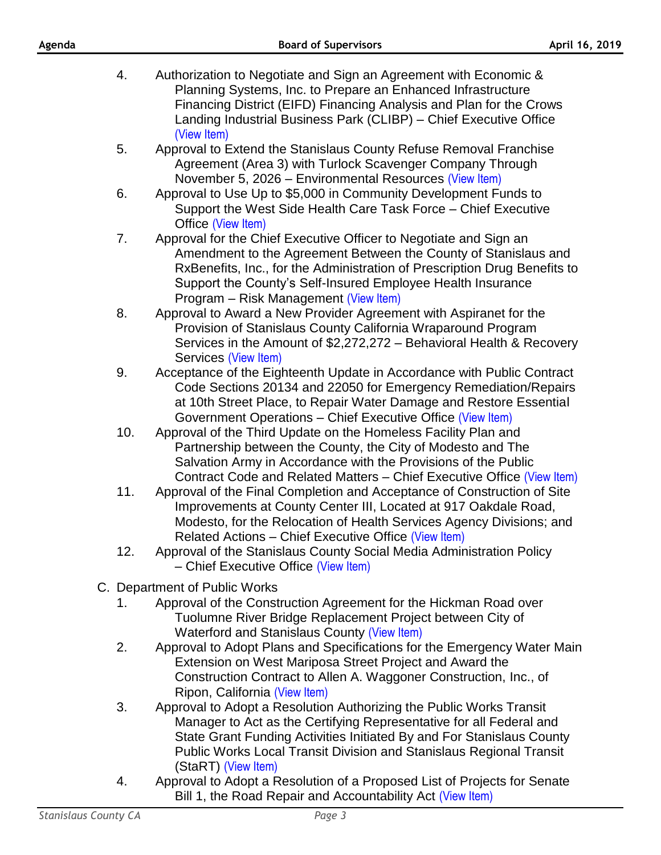| Agenda |     | <b>Board of Supervisors</b>                                                                                                                                                                                                                                                                                               | April 16, 2019 |  |
|--------|-----|---------------------------------------------------------------------------------------------------------------------------------------------------------------------------------------------------------------------------------------------------------------------------------------------------------------------------|----------------|--|
|        | 4.  | Authorization to Negotiate and Sign an Agreement with Economic &<br>Planning Systems, Inc. to Prepare an Enhanced Infrastructure<br>Financing District (EIFD) Financing Analysis and Plan for the Crows<br>Landing Industrial Business Park (CLIBP) – Chief Executive Office<br>(View Item)                               |                |  |
|        | 5.  | Approval to Extend the Stanislaus County Refuse Removal Franchise<br>Agreement (Area 3) with Turlock Scavenger Company Through<br>November 5, 2026 – Environmental Resources (View Item)                                                                                                                                  |                |  |
|        | 6.  | Approval to Use Up to \$5,000 in Community Development Funds to<br>Support the West Side Health Care Task Force – Chief Executive<br>Office (View Item)                                                                                                                                                                   |                |  |
|        | 7.  | Approval for the Chief Executive Officer to Negotiate and Sign an<br>Amendment to the Agreement Between the County of Stanislaus and<br>RxBenefits, Inc., for the Administration of Prescription Drug Benefits to<br>Support the County's Self-Insured Employee Health Insurance<br>Program – Risk Management (View Item) |                |  |
|        | 8.  | Approval to Award a New Provider Agreement with Aspiranet for the<br>Provision of Stanislaus County California Wraparound Program<br>Services in the Amount of \$2,272,272 – Behavioral Health & Recovery<br>Services (View Item)                                                                                         |                |  |
|        | 9.  | Acceptance of the Eighteenth Update in Accordance with Public Contract<br>Code Sections 20134 and 22050 for Emergency Remediation/Repairs<br>at 10th Street Place, to Repair Water Damage and Restore Essential<br>Government Operations - Chief Executive Office (View Item)                                             |                |  |
|        | 10. | Approval of the Third Update on the Homeless Facility Plan and<br>Partnership between the County, the City of Modesto and The<br>Salvation Army in Accordance with the Provisions of the Public<br>Contract Code and Related Matters - Chief Executive Office (View Item)                                                 |                |  |
|        | 11. | Approval of the Final Completion and Acceptance of Construction of Site<br>Improvements at County Center III, Located at 917 Oakdale Road,<br>Modesto, for the Relocation of Health Services Agency Divisions; and<br>Related Actions - Chief Executive Office (View Item)                                                |                |  |
|        | 12. | Approval of the Stanislaus County Social Media Administration Policy<br>- Chief Executive Office (View Item)                                                                                                                                                                                                              |                |  |
|        |     | C. Department of Public Works                                                                                                                                                                                                                                                                                             |                |  |
|        | 1.  | Approval of the Construction Agreement for the Hickman Road over<br>Tuolumne River Bridge Replacement Project between City of<br>Waterford and Stanislaus County (View Item)                                                                                                                                              |                |  |
|        | 2.  | Approval to Adopt Plans and Specifications for the Emergency Water Main<br>Extension on West Mariposa Street Project and Award the<br>Construction Contract to Allen A. Waggoner Construction, Inc., of<br>Ripon, California (View Item)                                                                                  |                |  |
|        | 3.  | Approval to Adopt a Resolution Authorizing the Public Works Transit<br>Manager to Act as the Certifying Representative for all Federal and<br>State Grant Funding Activities Initiated By and For Stanislaus County<br><b>Public Works Local Transit Division and Stanislaus Regional Transit</b><br>(StaRT) (View Item)  |                |  |
|        | 4.  | Approval to Adopt a Resolution of a Proposed List of Projects for Senate<br>Bill 1, the Road Repair and Accountability Act (View Item)                                                                                                                                                                                    |                |  |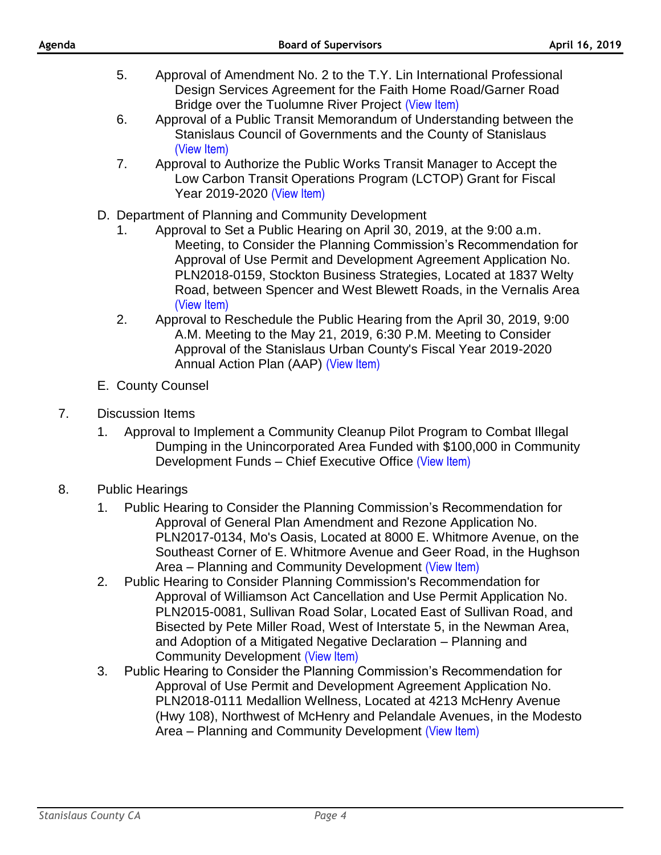- 5. Approval of Amendment No. 2 to the T.Y. Lin International Professional Design Services Agreement for the Faith Home Road/Garner Road Bridge over the Tuolumne River Project [\(View Item\)](http://stancounty.com/bos/agenda/2019/20190416/C05.pdf)
- 6. Approval of a Public Transit Memorandum of Understanding between the Stanislaus Council of Governments and the County of Stanislaus [\(View Item\)](http://stancounty.com/bos/agenda/2019/20190416/C06.pdf)
- 7. Approval to Authorize the Public Works Transit Manager to Accept the Low Carbon Transit Operations Program (LCTOP) Grant for Fiscal Year 2019-2020 [\(View Item\)](http://stancounty.com/bos/agenda/2019/20190416/C07.pdf)
- D. Department of Planning and Community Development
	- 1. Approval to Set a Public Hearing on April 30, 2019, at the 9:00 a.m. Meeting, to Consider the Planning Commission's Recommendation for Approval of Use Permit and Development Agreement Application No. PLN2018-0159, Stockton Business Strategies, Located at 1837 Welty Road, between Spencer and West Blewett Roads, in the Vernalis Area [\(View Item\)](http://stancounty.com/bos/agenda/2019/20190416/D01.pdf)
	- 2. Approval to Reschedule the Public Hearing from the April 30, 2019, 9:00 A.M. Meeting to the May 21, 2019, 6:30 P.M. Meeting to Consider Approval of the Stanislaus Urban County's Fiscal Year 2019-2020 Annual Action Plan (AAP) [\(View Item\)](http://stancounty.com/bos/agenda/2019/20190416/D02.pdf)
- E. County Counsel
- 7. Discussion Items
	- 1. Approval to Implement a Community Cleanup Pilot Program to Combat Illegal Dumping in the Unincorporated Area Funded with \$100,000 in Community Development Funds – Chief Executive Office [\(View Item\)](http://stancounty.com/bos/agenda/2019/20190416/DIS01.pdf)
- 8. Public Hearings
	- 1. Public Hearing to Consider the Planning Commission's Recommendation for Approval of General Plan Amendment and Rezone Application No. PLN2017-0134, Mo's Oasis, Located at 8000 E. Whitmore Avenue, on the Southeast Corner of E. Whitmore Avenue and Geer Road, in the Hughson Area – Planning and Community Development [\(View Item\)](http://stancounty.com/bos/agenda/2019/20190416/PH01.pdf)
	- 2. Public Hearing to Consider Planning Commission's Recommendation for Approval of Williamson Act Cancellation and Use Permit Application No. PLN2015-0081, Sullivan Road Solar, Located East of Sullivan Road, and Bisected by Pete Miller Road, West of Interstate 5, in the Newman Area, and Adoption of a Mitigated Negative Declaration – Planning and Community Development [\(View Item\)](http://stancounty.com/bos/agenda/2019/20190416/PH02.pdf)
	- 3. Public Hearing to Consider the Planning Commission's Recommendation for Approval of Use Permit and Development Agreement Application No. PLN2018-0111 Medallion Wellness, Located at 4213 McHenry Avenue (Hwy 108), Northwest of McHenry and Pelandale Avenues, in the Modesto Area – Planning and Community Development [\(View Item\)](http://stancounty.com/bos/agenda/2019/20190416/PH03.pdf)